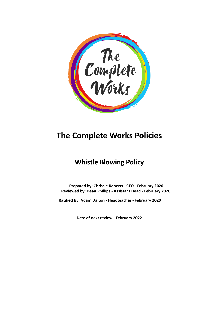

# **The Complete Works Policies**

## **Whistle Blowing Policy**

**Prepared by: Chrissie Roberts - CEO - February 2020 Reviewed by: Dean Phillips - Assistant Head - February 2020**

**Ratified by: Adam Dalton - Headteacher - February 2020**

**Date of next review - February 2022**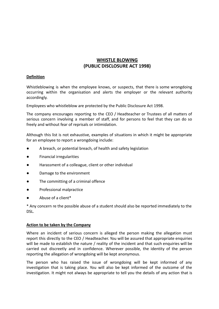### **WHISTLE BLOWING (PUBLIC DISCLOSURE ACT 1998)**

#### **Definition**

Whistleblowing is when the employee knows, or suspects, that there is some wrongdoing occurring within the organisation and alerts the employer or the relevant authority accordingly.

Employees who whistleblow are protected by the Public Disclosure Act 1998.

The company encourages reporting to the CEO / Headteacher or Trustees of all matters of serious concern involving a member of staff, and for persons to feel that they can do so freely and without fear of reprisals or intimidation.

Although this list is not exhaustive, examples of situations in which it might be appropriate for an employee to report a wrongdoing include:

- A breach, or potential breach, of health and safety legislation
- Financial irregularities
- Harassment of a colleague, client or other individual
- Damage to the environment
- The committing of a criminal offence
- Professional malpractice
- Abuse of a client\*

\* Any concern re the possible abuse of a student should also be reported immediately to the DSL.

#### **Action to be taken by the Company**

Where an incident of serious concern is alleged the person making the allegation must report this directly to the CEO / Headteacher. You will be assured that appropriate enquiries will be made to establish the nature / reality of the incident and that such enquiries will be carried out discreetly and in confidence. Wherever possible, the identity of the person reporting the allegation of wrongdoing will be kept anonymous.

The person who has raised the issue of wrongdoing will be kept informed of any investigation that is taking place. You will also be kept informed of the outcome of the investigation. It might not always be appropriate to tell you the details of any action that is